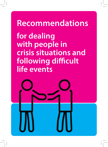# **Recommendations** for dealing with people in **crisis situations and** following difficult life events

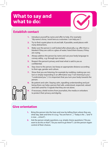### **What to say and what to do:**

#### **Establish contact**

- **1.** Introduce yourself by name and offer to help. (For example: "*My name is Anna, I work here as a volunteer. I can help you.*")
- **2.** Try to find a quiet place to sit and talk. If possible, avoid places with many distractions.
- **3.** Make sure the person is well looked after physically, e.g. offer them a blanket if they are cold or a glass of water; hand them tissues, if they are crying.
- **4.** Always address the person by name and use your body language to convey safety, e.g. through eye contact.
- **5.** Respect the person's privacy and treat what is said to you as confidential.
- **6.** Stay close to the person, but keep an appropriate distance according to their age, gender and culture.
- **7.** Show that you are listening, for example by nodding, making eye contact or simply responding in an affirmative way ("*I am listening to you*.", "*I understand you.*"). It is important that you turn your body towards the person.
- **8.** Be patient and calm. Staying calm, signalling understanding and just being there can help a person feel safe, understood, respected, valued and well cared for. It signals that they are not alone.



**9.** If necessary, shield victims from journalists, the media or onlookers to protect their privacy and dignity.

#### **Give orientation**

- **1.** Bring the person into the here and now by telling them where they are, what day, date and time it is (e.g. "*You are here in* ...", "*Today is the* ..." and "*It is now ... o'clock*").
- **2.** Ask the person simple questions, e.g. simple choice questions ("*Do you want to do this or that?*", "*Do you want to go there?*"). Let the person regain control of their choices.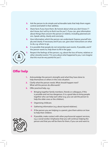- **3.** Ask the person to do simple and achievable tasks that help them regain control and belief in their abilities.
- **4.** Share facts if you have them. Be honest about what you don't know ("*I don't know, but I will try to find it out for you"*). If you can, give information about things that concern the person or relative, including planned actions. Speak calmly, clearly and concisely.
- **5.** Give information which the person can understand. Express yourself simply and clearly. If necessary and if you can, give clear instructions on what to do, e.g. where to go.
- **6.** It is possible that people do not remember past events. If possible, and if the person wants to, help them to fill in the gaps.



**7.** Respect the feelings of the person, e.g. about the loss of home, relatives or other stressful events ("*I'm sorry about what happened to you, I can imagine that this must be very painful for you*").

#### **Offer help**

- **1.** Acknowledge the person's strengths and what they have done to help themselves or others in the crisis situation.
- **2.** Clarify what the person needs. What should happen next? What will the person do afterwards?
- **3.** Offer practical help, e.g.:
	- $\rightarrow$  Bringing together family members, friends or colleagues, if this is possible and not too dangerous. It is a good idea to bring people together who can help each other (e.g. you can ask the person to help the older ones or the children).
	- $\rightarrow$  Organising childcare.
	- $\rightarrow$  Gathering information (e.g. about injured relatives).
	- $\rightarrow$  If the person you are helping is a parent, give them advice on how to help their children.



 $\rightarrow$  If possible, make contact with other psychosocial support services, e.g. a social worker. Emphasise that you will continue helping the person and that you will be there for them, if you can and want to.